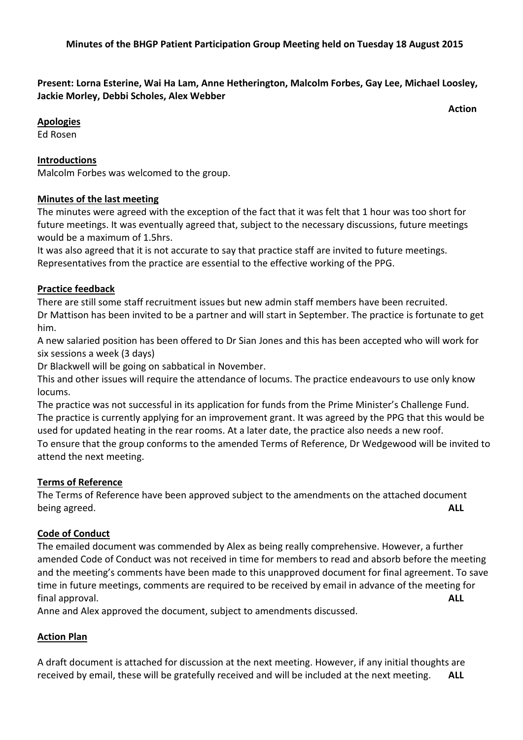## **Present: Lorna Esterine, Wai Ha Lam, Anne Hetherington, Malcolm Forbes, Gay Lee, Michael Loosley, Jackie Morley, Debbi Scholes, Alex Webber**

*<u>Action</u>* 

**Apologies** 

Ed Rosen

#### **Introductions**

Malcolm Forbes was welcomed to the group.

## **Minutes of the last meeting**

The minutes were agreed with the exception of the fact that it was felt that 1 hour was too short for future meetings. It was eventually agreed that, subject to the necessary discussions, future meetings would be a maximum of 1.5hrs.

It was also agreed that it is not accurate to say that practice staff are invited to future meetings. Representatives from the practice are essential to the effective working of the PPG.

#### **Practice feedback**

There are still some staff recruitment issues but new admin staff members have been recruited. Dr Mattison has been invited to be a partner and will start in September. The practice is fortunate to get him.

A new salaried position has been offered to Dr Sian Jones and this has been accepted who will work for six sessions a week (3 days)

Dr Blackwell will be going on sabbatical in November.

This and other issues will require the attendance of locums. The practice endeavours to use only know locums.

The practice was not successful in its application for funds from the Prime Minister's Challenge Fund. The practice is currently applying for an improvement grant. It was agreed by the PPG that this would be used for updated heating in the rear rooms. At a later date, the practice also needs a new roof. To ensure that the group conforms to the amended Terms of Reference, Dr Wedgewood will be invited to attend the next meeting.

#### **Terms of Reference**

The Terms of Reference have been approved subject to the amendments on the attached document being agreed. **ALL**

#### **Code of Conduct**

The emailed document was commended by Alex as being really comprehensive. However, a further amended Code of Conduct was not received in time for members to read and absorb before the meeting and the meeting's comments have been made to this unapproved document for final agreement. To save time in future meetings, comments are required to be received by email in advance of the meeting for final approval. **ALL**

Anne and Alex approved the document, subject to amendments discussed.

## **Action Plan**

A draft document is attached for discussion at the next meeting. However, if any initial thoughts are received by email, these will be gratefully received and will be included at the next meeting. **ALL**